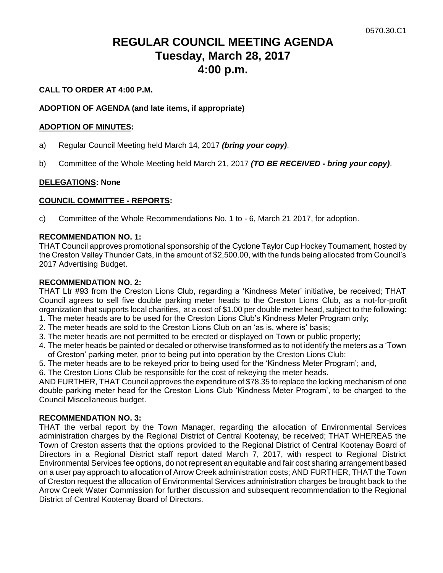# **REGULAR COUNCIL MEETING AGENDA Tuesday, March 28, 2017 4:00 p.m.**

#### **CALL TO ORDER AT 4:00 P.M.**

#### **ADOPTION OF AGENDA (and late items, if appropriate)**

#### **ADOPTION OF MINUTES:**

- a) Regular Council Meeting held March 14, 2017 *(bring your copy)*.
- b) Committee of the Whole Meeting held March 21, 2017 *(TO BE RECEIVED - bring your copy)*.

#### **DELEGATIONS: None**

#### **COUNCIL COMMITTEE - REPORTS:**

c) Committee of the Whole Recommendations No. 1 to - 6, March 21 2017, for adoption.

#### **RECOMMENDATION NO. 1:**

THAT Council approves promotional sponsorship of the Cyclone Taylor Cup Hockey Tournament, hosted by the Creston Valley Thunder Cats, in the amount of \$2,500.00, with the funds being allocated from Council's 2017 Advertising Budget.

#### **RECOMMENDATION NO. 2:**

THAT Ltr #93 from the Creston Lions Club, regarding a 'Kindness Meter' initiative, be received; THAT Council agrees to sell five double parking meter heads to the Creston Lions Club, as a not-for-profit organization that supports local charities, at a cost of \$1.00 per double meter head, subject to the following:

- 1. The meter heads are to be used for the Creston Lions Club's Kindness Meter Program only;
- 2. The meter heads are sold to the Creston Lions Club on an 'as is, where is' basis;
- 3. The meter heads are not permitted to be erected or displayed on Town or public property;
- 4. The meter heads be painted or decaled or otherwise transformed as to not identify the meters as a 'Town of Creston' parking meter, prior to being put into operation by the Creston Lions Club;
- 5. The meter heads are to be rekeyed prior to being used for the 'Kindness Meter Program'; and,
- 6. The Creston Lions Club be responsible for the cost of rekeying the meter heads.

AND FURTHER, THAT Council approves the expenditure of \$78.35 to replace the locking mechanism of one double parking meter head for the Creston Lions Club 'Kindness Meter Program', to be charged to the Council Miscellaneous budget.

### **RECOMMENDATION NO. 3:**

THAT the verbal report by the Town Manager, regarding the allocation of Environmental Services administration charges by the Regional District of Central Kootenay, be received; THAT WHEREAS the Town of Creston asserts that the options provided to the Regional District of Central Kootenay Board of Directors in a Regional District staff report dated March 7, 2017, with respect to Regional District Environmental Services fee options, do not represent an equitable and fair cost sharing arrangement based on a user pay approach to allocation of Arrow Creek administration costs; AND FURTHER, THAT the Town of Creston request the allocation of Environmental Services administration charges be brought back to the Arrow Creek Water Commission for further discussion and subsequent recommendation to the Regional District of Central Kootenay Board of Directors.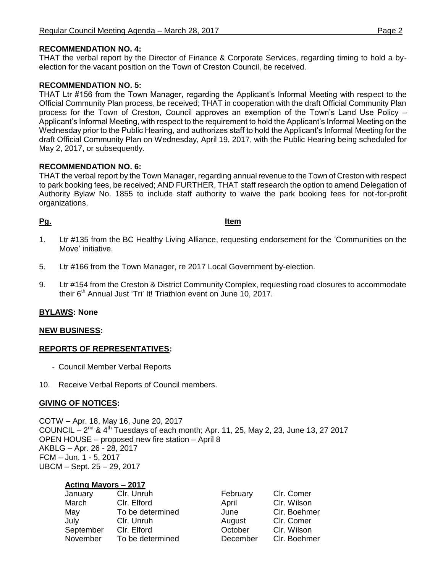#### **RECOMMENDATION NO. 4:**

THAT the verbal report by the Director of Finance & Corporate Services, regarding timing to hold a byelection for the vacant position on the Town of Creston Council, be received.

#### **RECOMMENDATION NO. 5:**

THAT Ltr #156 from the Town Manager, regarding the Applicant's Informal Meeting with respect to the Official Community Plan process, be received; THAT in cooperation with the draft Official Community Plan process for the Town of Creston, Council approves an exemption of the Town's Land Use Policy – Applicant's Informal Meeting, with respect to the requirement to hold the Applicant's Informal Meeting on the Wednesday prior to the Public Hearing, and authorizes staff to hold the Applicant's Informal Meeting for the draft Official Community Plan on Wednesday, April 19, 2017, with the Public Hearing being scheduled for May 2, 2017, or subsequently.

#### **RECOMMENDATION NO. 6:**

THAT the verbal report by the Town Manager, regarding annual revenue to the Town of Creston with respect to park booking fees, be received; AND FURTHER, THAT staff research the option to amend Delegation of Authority Bylaw No. 1855 to include staff authority to waive the park booking fees for not-for-profit organizations.

#### **Pg. Item**

- 1. Ltr #135 from the BC Healthy Living Alliance, requesting endorsement for the 'Communities on the Move' initiative.
- 5. Ltr #166 from the Town Manager, re 2017 Local Government by-election.
- 9. Ltr #154 from the Creston & District Community Complex, requesting road closures to accommodate their  $6<sup>th</sup>$  Annual Just 'Tri' It! Triathlon event on June 10, 2017.

#### **BYLAWS: None**

#### **NEW BUSINESS:**

### **REPORTS OF REPRESENTATIVES:**

- Council Member Verbal Reports
- 10. Receive Verbal Reports of Council members.

#### **GIVING OF NOTICES:**

COTW – Apr. 18, May 16, June 20, 2017 COUNCIL  $- 2^{nd}$  & 4<sup>th</sup> Tuesdays of each month; Apr. 11, 25, May 2, 23, June 13, 27 2017 OPEN HOUSE – proposed new fire station – April 8 AKBLG – Apr. 26 - 28, 2017 FCM – Jun. 1 - 5, 2017 UBCM – Sept. 25 – 29, 2017

| January   | Clr. Unruh       | February | Clr. Comer   |
|-----------|------------------|----------|--------------|
| March     | Clr. Elford      | April    | Clr. Wilson  |
| May       | To be determined | June     | Clr. Boehmer |
| July      | Clr. Unruh       | August   | Clr. Comer   |
| September | Clr. Elford      | October  | Clr. Wilson  |
| November  | To be determined | December | Clr. Boehmer |